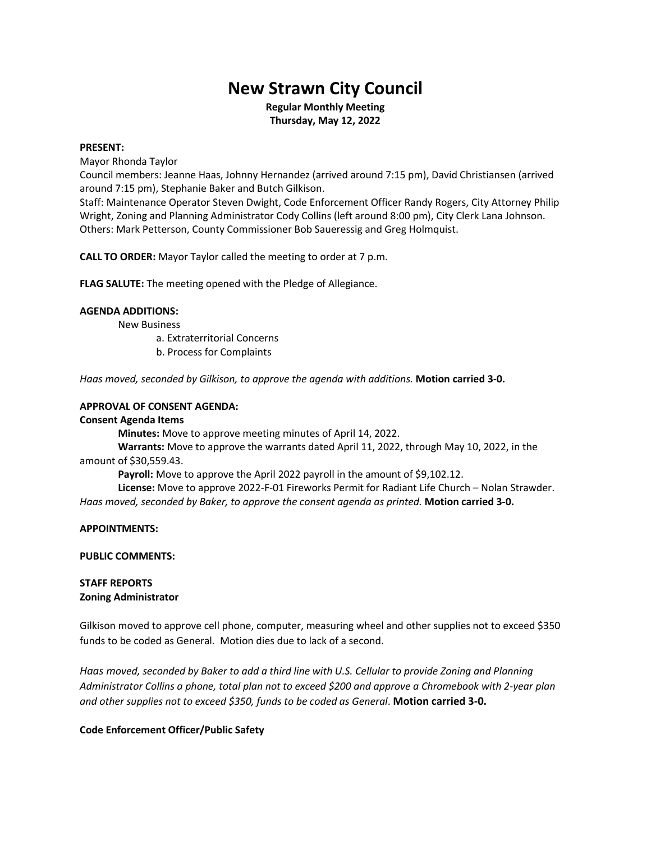# **New Strawn City Council**

**Regular Monthly Meeting Thursday, May 12, 2022**

## **PRESENT:**

Mayor Rhonda Taylor

Council members: Jeanne Haas, Johnny Hernandez (arrived around 7:15 pm), David Christiansen (arrived around 7:15 pm), Stephanie Baker and Butch Gilkison.

Staff: Maintenance Operator Steven Dwight, Code Enforcement Officer Randy Rogers, City Attorney Philip Wright, Zoning and Planning Administrator Cody Collins (left around 8:00 pm), City Clerk Lana Johnson. Others: Mark Petterson, County Commissioner Bob Saueressig and Greg Holmquist.

**CALL TO ORDER:** Mayor Taylor called the meeting to order at 7 p.m.

**FLAG SALUTE:** The meeting opened with the Pledge of Allegiance.

# **AGENDA ADDITIONS:**

New Business

a. Extraterritorial Concerns

b. Process for Complaints

*Haas moved, seconded by Gilkison, to approve the agenda with additions.* **Motion carried 3-0.**

# **APPROVAL OF CONSENT AGENDA:**

# **Consent Agenda Items**

**Minutes:** Move to approve meeting minutes of April 14, 2022.

**Warrants:** Move to approve the warrants dated April 11, 2022, through May 10, 2022, in the amount of \$30,559.43.

Payroll: Move to approve the April 2022 payroll in the amount of \$9,102.12.

**License:** Move to approve 2022-F-01 Fireworks Permit for Radiant Life Church – Nolan Strawder. *Haas moved, seconded by Baker, to approve the consent agenda as printed.* **Motion carried 3-0.**

**APPOINTMENTS:**

**PUBLIC COMMENTS:**

# **STAFF REPORTS Zoning Administrator**

Gilkison moved to approve cell phone, computer, measuring wheel and other supplies not to exceed \$350 funds to be coded as General. Motion dies due to lack of a second.

*Haas moved, seconded by Baker to add a third line with U.S. Cellular to provide Zoning and Planning Administrator Collins a phone, total plan not to exceed \$200 and approve a Chromebook with 2-year plan and other supplies not to exceed \$350, funds to be coded as General*. **Motion carried 3-0.**

# **Code Enforcement Officer/Public Safety**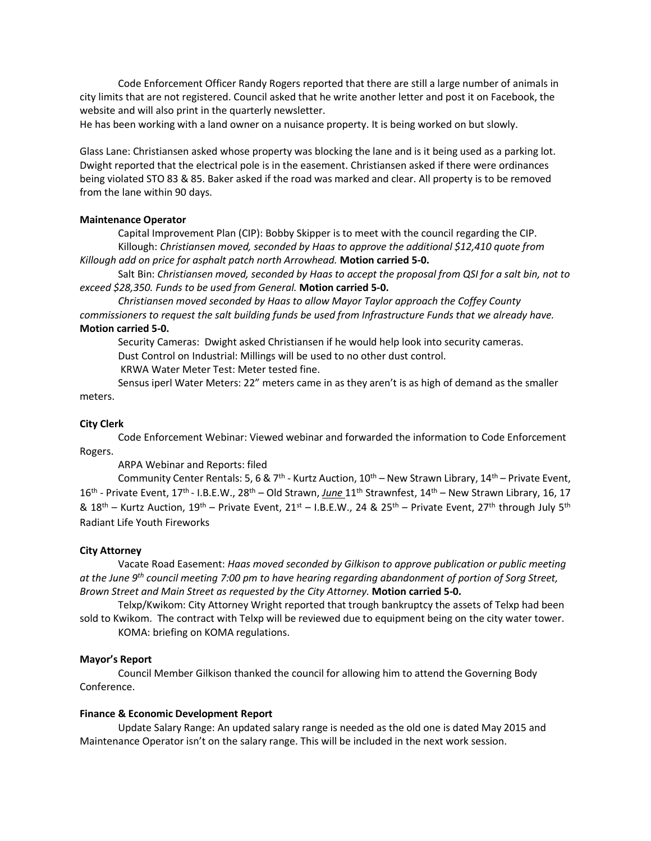Code Enforcement Officer Randy Rogers reported that there are still a large number of animals in city limits that are not registered. Council asked that he write another letter and post it on Facebook, the website and will also print in the quarterly newsletter.

He has been working with a land owner on a nuisance property. It is being worked on but slowly.

Glass Lane: Christiansen asked whose property was blocking the lane and is it being used as a parking lot. Dwight reported that the electrical pole is in the easement. Christiansen asked if there were ordinances being violated STO 83 & 85. Baker asked if the road was marked and clear. All property is to be removed from the lane within 90 days.

## **Maintenance Operator**

Capital Improvement Plan (CIP): Bobby Skipper is to meet with the council regarding the CIP. Killough: *Christiansen moved, seconded by Haas to approve the additional \$12,410 quote from* 

*Killough add on price for asphalt patch north Arrowhead.* **Motion carried 5-0.**

Salt Bin: *Christiansen moved, seconded by Haas to accept the proposal from QSI for a salt bin, not to exceed \$28,350. Funds to be used from General.* **Motion carried 5-0.**

*Christiansen moved seconded by Haas to allow Mayor Taylor approach the Coffey County commissioners to request the salt building funds be used from Infrastructure Funds that we already have.*  **Motion carried 5-0.**

Security Cameras: Dwight asked Christiansen if he would help look into security cameras. Dust Control on Industrial: Millings will be used to no other dust control.

KRWA Water Meter Test: Meter tested fine.

Sensus iperl Water Meters: 22" meters came in as they aren't is as high of demand as the smaller meters.

## **City Clerk**

Code Enforcement Webinar: Viewed webinar and forwarded the information to Code Enforcement Rogers.

ARPA Webinar and Reports: filed

Community Center Rentals: 5, 6 & 7<sup>th</sup> - Kurtz Auction, 10<sup>th</sup> – New Strawn Library, 14<sup>th</sup> – Private Event, 16<sup>th</sup> - Private Event, 17<sup>th</sup> - I.B.E.W., 28<sup>th</sup> – Old Strawn, *June* 11<sup>th</sup> Strawnfest, 14<sup>th</sup> – New Strawn Library, 16, 17 &  $18^{th}$  – Kurtz Auction,  $19^{th}$  – Private Event,  $21^{st}$  – I.B.E.W., 24 &  $25^{th}$  – Private Event,  $27^{th}$  through July  $5^{th}$ Radiant Life Youth Fireworks

#### **City Attorney**

Vacate Road Easement: *Haas moved seconded by Gilkison to approve publication or public meeting at the June 9th council meeting 7:00 pm to have hearing regarding abandonment of portion of Sorg Street, Brown Street and Main Street as requested by the City Attorney.* **Motion carried 5-0.**

Telxp/Kwikom: City Attorney Wright reported that trough bankruptcy the assets of Telxp had been sold to Kwikom. The contract with Telxp will be reviewed due to equipment being on the city water tower. KOMA: briefing on KOMA regulations.

#### **Mayor's Report**

Council Member Gilkison thanked the council for allowing him to attend the Governing Body Conference.

#### **Finance & Economic Development Report**

Update Salary Range: An updated salary range is needed as the old one is dated May 2015 and Maintenance Operator isn't on the salary range. This will be included in the next work session.